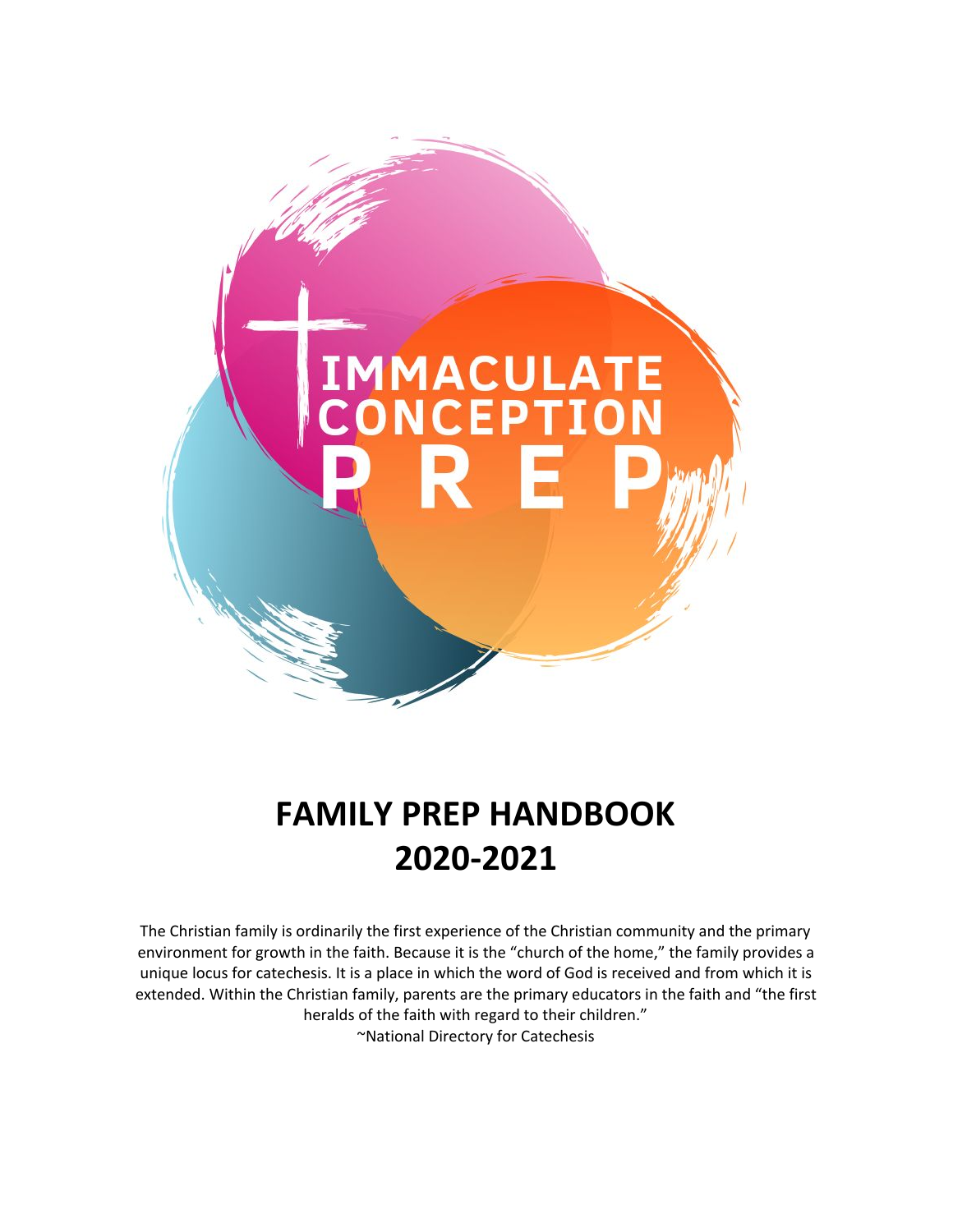

# **FAMILY PREP HANDBOOK 2020-2021**

The Christian family is ordinarily the first experience of the Christian community and the primary environment for growth in the faith. Because it is the "church of the home," the family provides a unique locus for catechesis. It is a place in which the word of God is received and from which it is extended. Within the Christian family, parents are the primary educators in the faith and "the first heralds of the faith with regard to their children." ~National Directory for Catechesis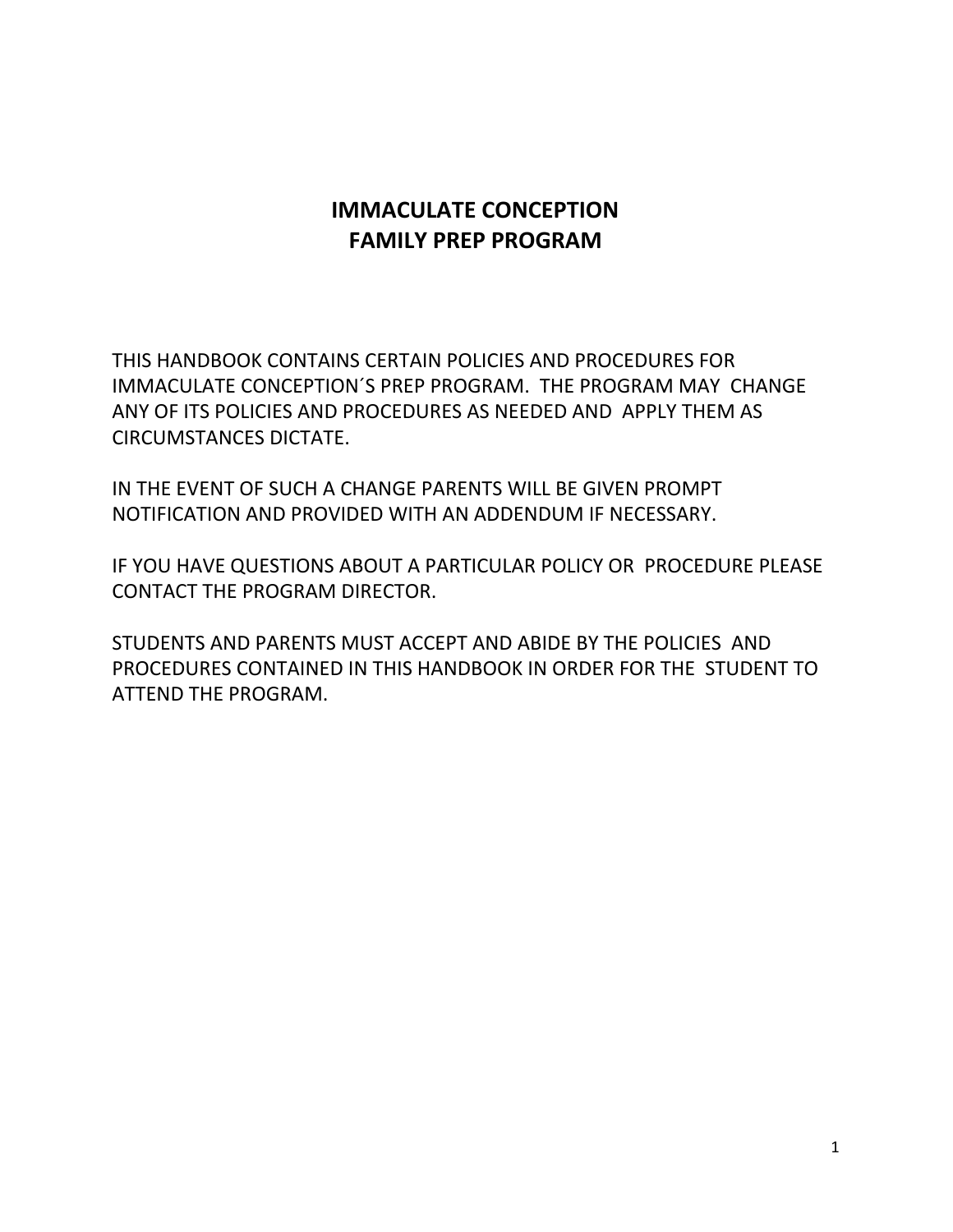# **IMMACULATE CONCEPTION FAMILY PREP PROGRAM**

THIS HANDBOOK CONTAINS CERTAIN POLICIES AND PROCEDURES FOR IMMACULATE CONCEPTION´S PREP PROGRAM. THE PROGRAM MAY CHANGE ANY OF ITS POLICIES AND PROCEDURES AS NEEDED AND APPLY THEM AS CIRCUMSTANCES DICTATE.

IN THE EVENT OF SUCH A CHANGE PARENTS WILL BE GIVEN PROMPT NOTIFICATION AND PROVIDED WITH AN ADDENDUM IF NECESSARY.

IF YOU HAVE QUESTIONS ABOUT A PARTICULAR POLICY OR PROCEDURE PLEASE CONTACT THE PROGRAM DIRECTOR.

STUDENTS AND PARENTS MUST ACCEPT AND ABIDE BY THE POLICIES AND PROCEDURES CONTAINED IN THIS HANDBOOK IN ORDER FOR THE STUDENT TO ATTEND THE PROGRAM.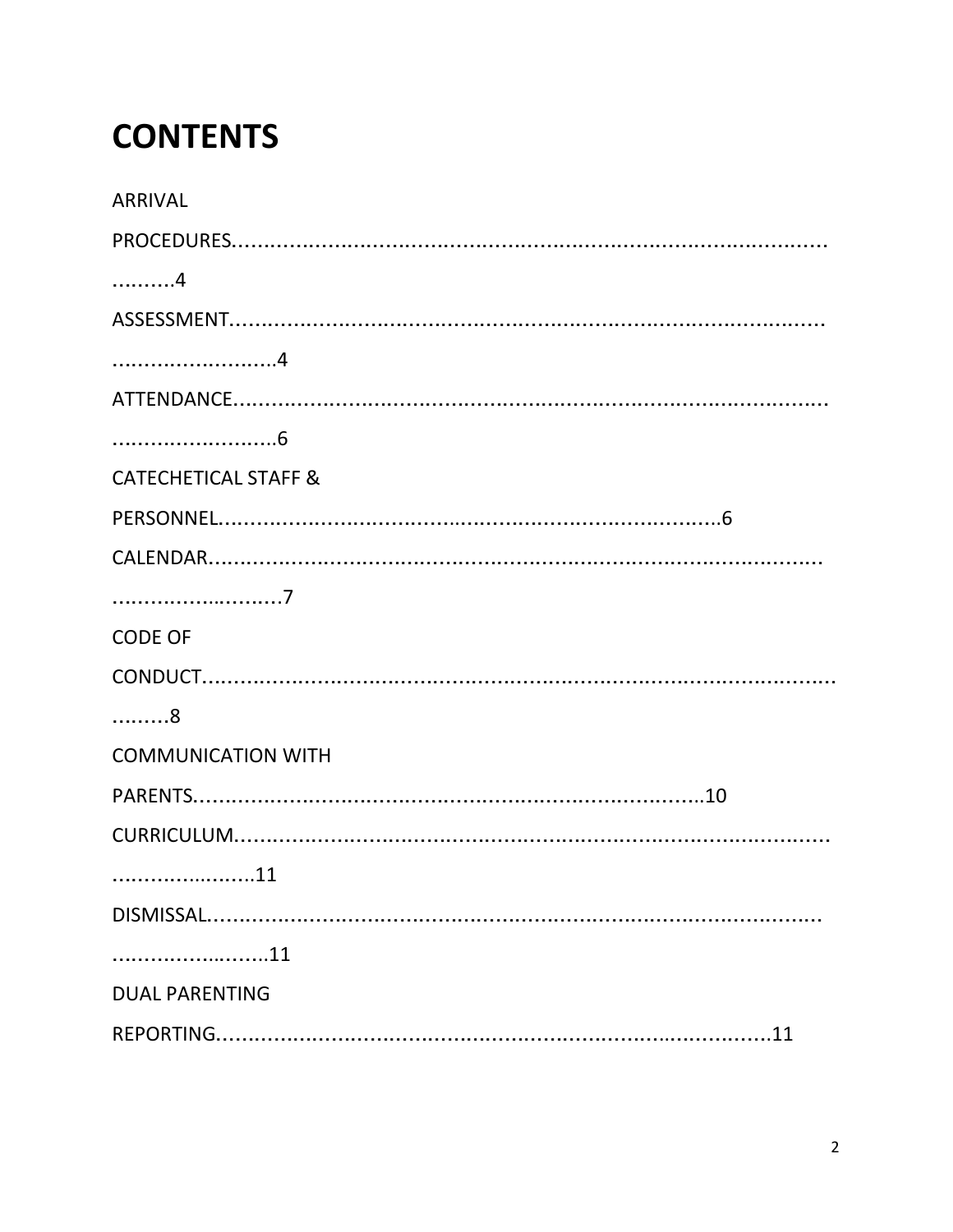# **CONTENTS**

| <b>ARRIVAL</b>                  |
|---------------------------------|
|                                 |
| . 4                             |
|                                 |
|                                 |
|                                 |
|                                 |
| <b>CATECHETICAL STAFF &amp;</b> |
|                                 |
|                                 |
|                                 |
| <b>CODE OF</b>                  |
|                                 |
| . 8                             |
| <b>COMMUNICATION WITH</b>       |
|                                 |
|                                 |
| 11                              |
|                                 |
| 11                              |
| <b>DUAL PARENTING</b>           |
|                                 |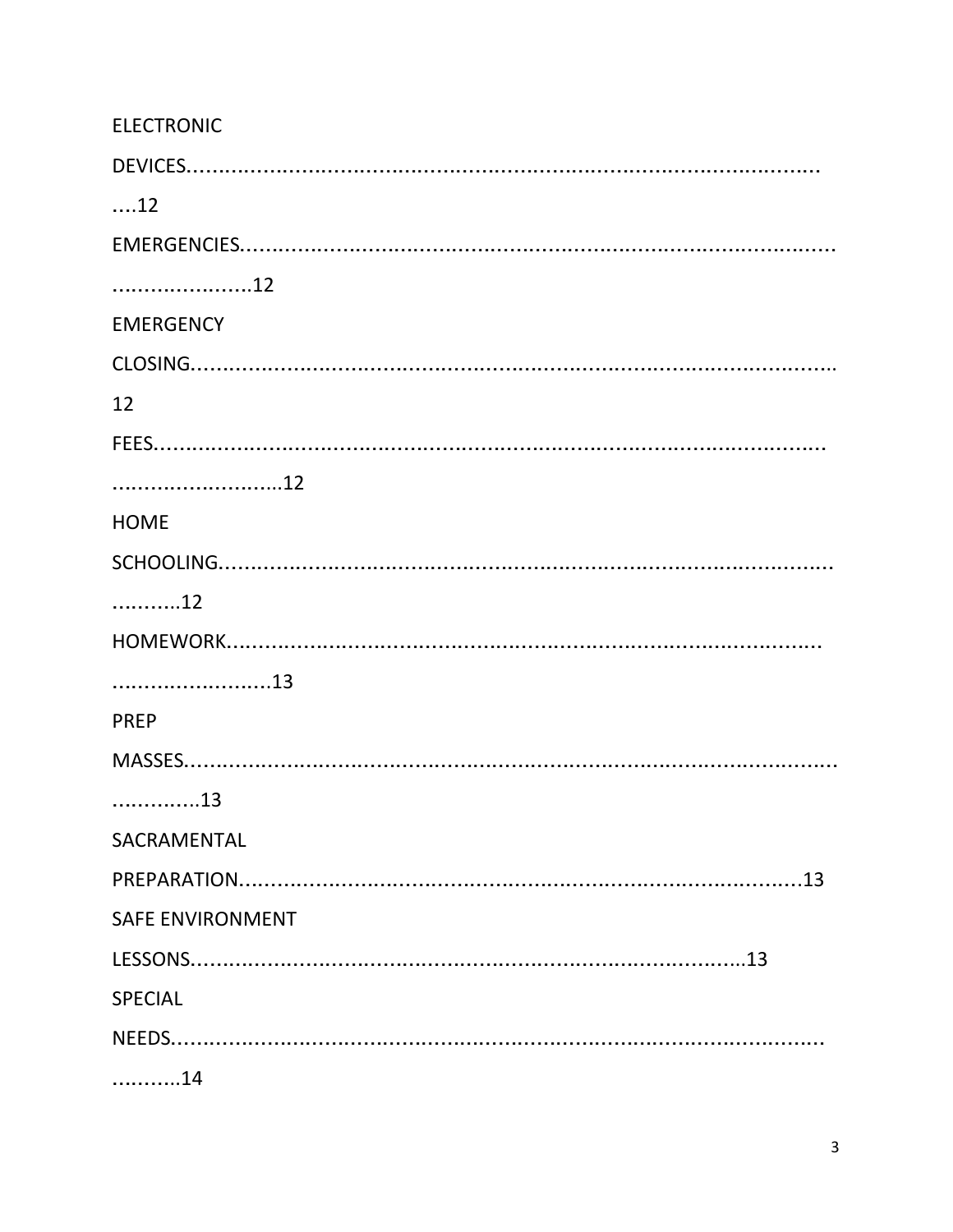| <b>ELECTRONIC</b>       |
|-------------------------|
|                         |
| $\dots 12$              |
|                         |
| 12                      |
| <b>EMERGENCY</b>        |
|                         |
| 12                      |
|                         |
| 12                      |
| <b>HOME</b>             |
|                         |
| 12                      |
|                         |
| 13                      |
| <b>PREP</b>             |
|                         |
| 13                      |
| SACRAMENTAL             |
|                         |
| <b>SAFE ENVIRONMENT</b> |
|                         |
| <b>SPECIAL</b>          |
|                         |
| 14                      |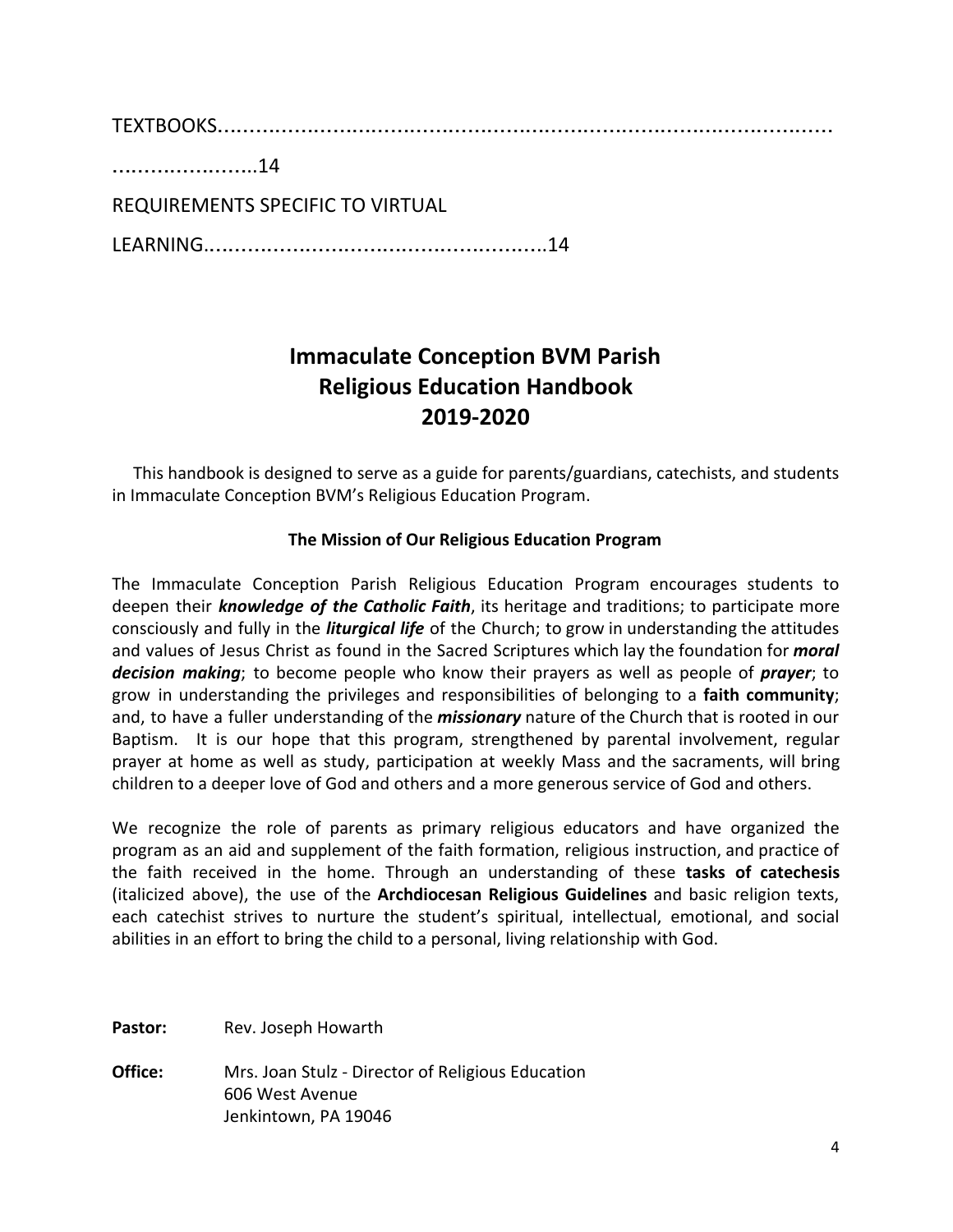TEXTBOOKS……………………………………………………………………………………

…………………..14

REQUIREMENTS SPECIFIC TO VIRTUAL

LEARNING.……………………………………………..14

# **Immaculate Conception BVM Parish Religious Education Handbook 2019-2020**

 This handbook is designed to serve as a guide for parents/guardians, catechists, and students in Immaculate Conception BVM's Religious Education Program.

#### **The Mission of Our Religious Education Program**

The Immaculate Conception Parish Religious Education Program encourages students to deepen their *knowledge of the Catholic Faith*, its heritage and traditions; to participate more consciously and fully in the *liturgical life* of the Church; to grow in understanding the attitudes and values of Jesus Christ as found in the Sacred Scriptures which lay the foundation for *moral decision making*; to become people who know their prayers as well as people of *prayer*; to grow in understanding the privileges and responsibilities of belonging to a **faith community**; and, to have a fuller understanding of the *missionary* nature of the Church that is rooted in our Baptism. It is our hope that this program, strengthened by parental involvement, regular prayer at home as well as study, participation at weekly Mass and the sacraments, will bring children to a deeper love of God and others and a more generous service of God and others.

We recognize the role of parents as primary religious educators and have organized the program as an aid and supplement of the faith formation, religious instruction, and practice of the faith received in the home. Through an understanding of these **tasks of catechesis** (italicized above), the use of the **Archdiocesan Religious Guidelines** and basic religion texts, each catechist strives to nurture the student's spiritual, intellectual, emotional, and social abilities in an effort to bring the child to a personal, living relationship with God.

Pastor: Rev. Joseph Howarth

**Office:** Mrs. Joan Stulz - Director of Religious Education 606 West Avenue Jenkintown, PA 19046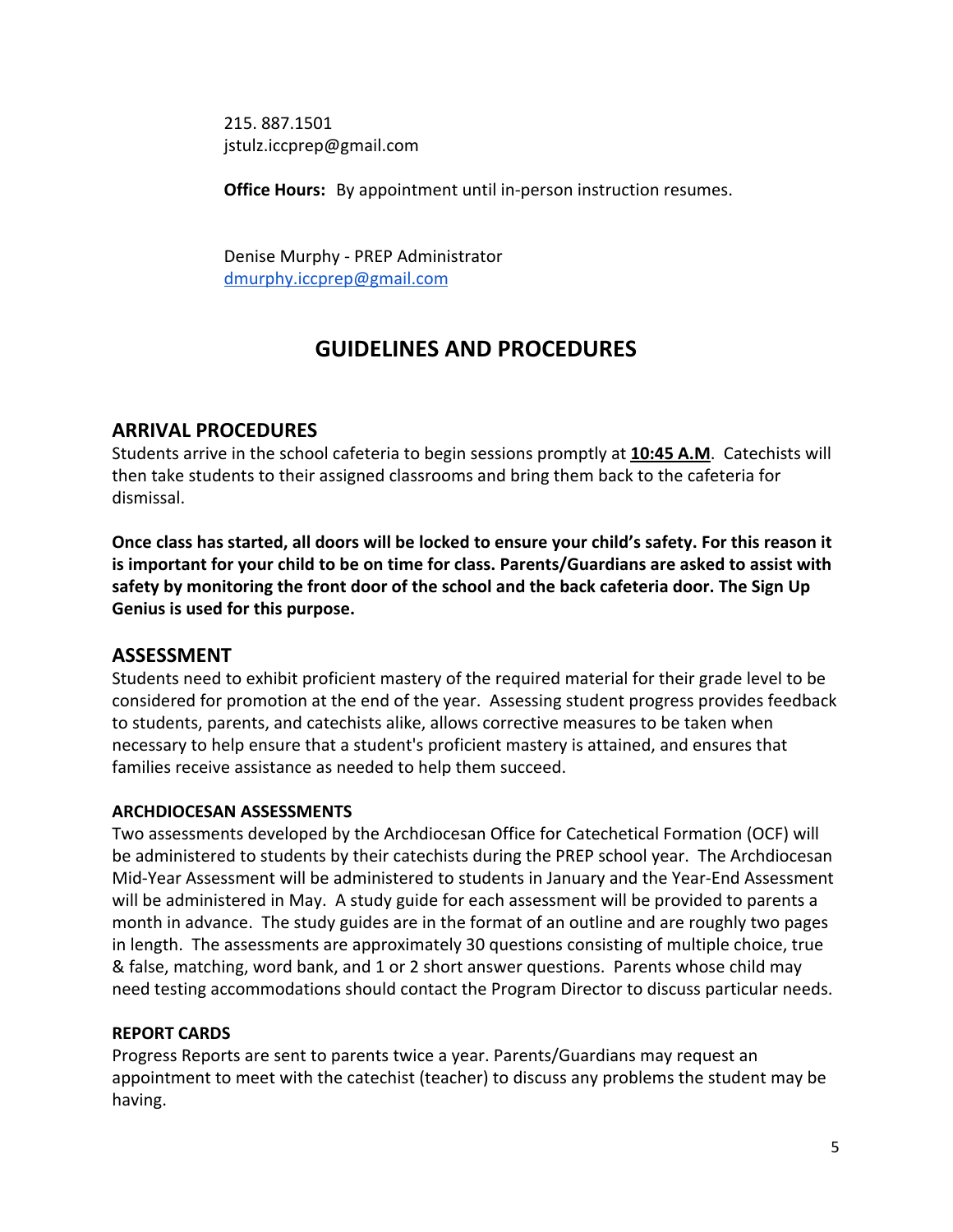215. 887.1501 jstulz.iccprep@gmail.com

**Office Hours:** By appointment until in-person instruction resumes.

Denise Murphy - PREP Administrator [dmurphy.iccprep@gmail.com](mailto:dmurphyiccprep@gmail.com)

# **GUIDELINES AND PROCEDURES**

#### **ARRIVAL PROCEDURES**

Students arrive in the school cafeteria to begin sessions promptly at **10:45 A.M**. Catechists will then take students to their assigned classrooms and bring them back to the cafeteria for dismissal.

**Once class has started, all doors will be locked to ensure your child's safety. For this reason it is important for your child to be on time for class. Parents/Guardians are asked to assist with safety by monitoring the front door of the school and the back cafeteria door. The Sign Up Genius is used for this purpose.**

#### **ASSESSMENT**

Students need to exhibit proficient mastery of the required material for their grade level to be considered for promotion at the end of the year. Assessing student progress provides feedback to students, parents, and catechists alike, allows corrective measures to be taken when necessary to help ensure that a student's proficient mastery is attained, and ensures that families receive assistance as needed to help them succeed.

#### **ARCHDIOCESAN ASSESSMENTS**

Two assessments developed by the Archdiocesan Office for Catechetical Formation (OCF) will be administered to students by their catechists during the PREP school year. The Archdiocesan Mid-Year Assessment will be administered to students in January and the Year-End Assessment will be administered in May. A study guide for each assessment will be provided to parents a month in advance. The study guides are in the format of an outline and are roughly two pages in length. The assessments are approximately 30 questions consisting of multiple choice, true & false, matching, word bank, and 1 or 2 short answer questions. Parents whose child may need testing accommodations should contact the Program Director to discuss particular needs.

#### **REPORT CARDS**

Progress Reports are sent to parents twice a year. Parents/Guardians may request an appointment to meet with the catechist (teacher) to discuss any problems the student may be having.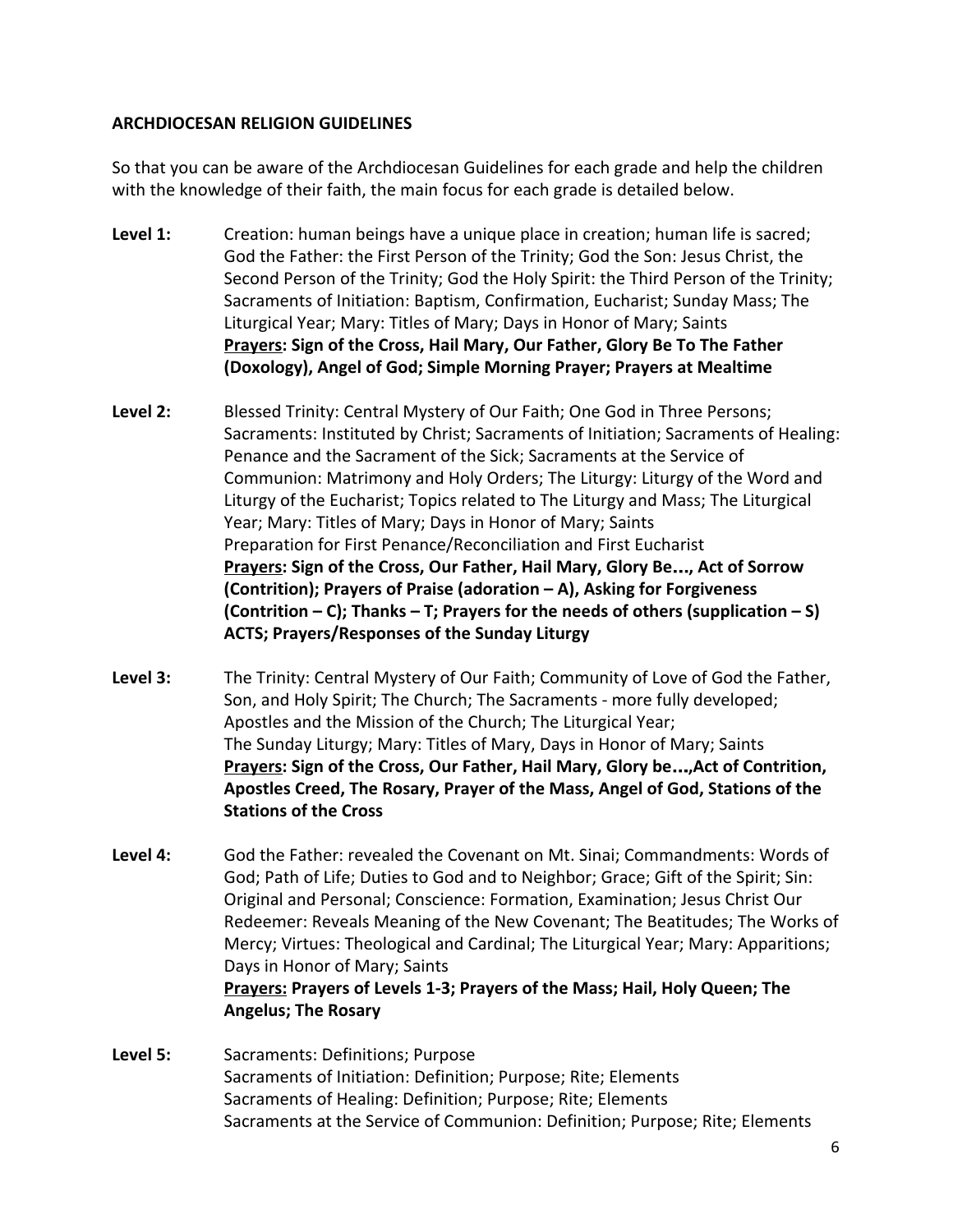#### **ARCHDIOCESAN RELIGION GUIDELINES**

So that you can be aware of the Archdiocesan Guidelines for each grade and help the children with the knowledge of their faith, the main focus for each grade is detailed below.

- **Level 1:** Creation: human beings have a unique place in creation; human life is sacred; God the Father: the First Person of the Trinity; God the Son: Jesus Christ, the Second Person of the Trinity; God the Holy Spirit: the Third Person of the Trinity; Sacraments of Initiation: Baptism, Confirmation, Eucharist; Sunday Mass; The Liturgical Year; Mary: Titles of Mary; Days in Honor of Mary; Saints **Prayers: Sign of the Cross, Hail Mary, Our Father, Glory Be To The Father (Doxology), Angel of God; Simple Morning Prayer; Prayers at Mealtime**
- **Level 2:** Blessed Trinity: Central Mystery of Our Faith; One God in Three Persons; Sacraments: Instituted by Christ; Sacraments of Initiation; Sacraments of Healing: Penance and the Sacrament of the Sick; Sacraments at the Service of Communion: Matrimony and Holy Orders; The Liturgy: Liturgy of the Word and Liturgy of the Eucharist; Topics related to The Liturgy and Mass; The Liturgical Year; Mary: Titles of Mary; Days in Honor of Mary; Saints Preparation for First Penance/Reconciliation and First Eucharist **Prayers: Sign of the Cross, Our Father, Hail Mary, Glory Be**…**, Act of Sorrow (Contrition); Prayers of Praise (adoration – A), Asking for Forgiveness (Contrition – C); Thanks – T; Prayers for the needs of others (supplication – S) ACTS; Prayers/Responses of the Sunday Liturgy**
- **Level 3:** The Trinity: Central Mystery of Our Faith; Community of Love of God the Father, Son, and Holy Spirit; The Church; The Sacraments - more fully developed; Apostles and the Mission of the Church; The Liturgical Year; The Sunday Liturgy; Mary: Titles of Mary, Days in Honor of Mary; Saints **Prayers: Sign of the Cross, Our Father, Hail Mary, Glory be**…**,Act of Contrition, Apostles Creed, The Rosary, Prayer of the Mass, Angel of God, Stations of the Stations of the Cross**
- **Level 4:** God the Father: revealed the Covenant on Mt. Sinai; Commandments: Words of God; Path of Life; Duties to God and to Neighbor; Grace; Gift of the Spirit; Sin: Original and Personal; Conscience: Formation, Examination; Jesus Christ Our Redeemer: Reveals Meaning of the New Covenant; The Beatitudes; The Works of Mercy; Virtues: Theological and Cardinal; The Liturgical Year; Mary: Apparitions; Days in Honor of Mary; Saints **Prayers: Prayers of Levels 1-3; Prayers of the Mass; Hail, Holy Queen; The Angelus; The Rosary**
- **Level 5:** Sacraments: Definitions; Purpose Sacraments of Initiation: Definition; Purpose; Rite; Elements Sacraments of Healing: Definition; Purpose; Rite; Elements Sacraments at the Service of Communion: Definition; Purpose; Rite; Elements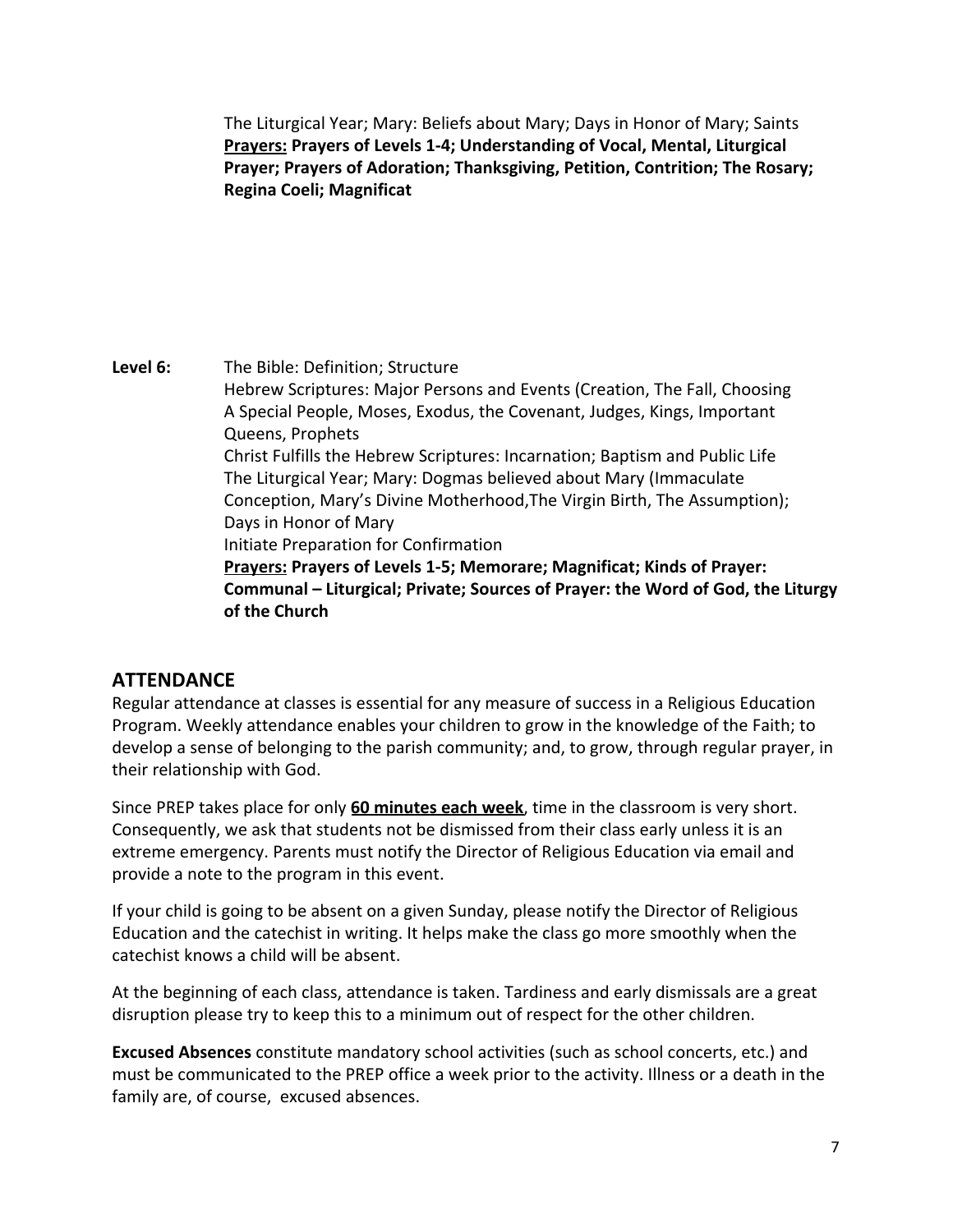The Liturgical Year; Mary: Beliefs about Mary; Days in Honor of Mary; Saints **Prayers: Prayers of Levels 1-4; Understanding of Vocal, Mental, Liturgical Prayer; Prayers of Adoration; Thanksgiving, Petition, Contrition; The Rosary; Regina Coeli; Magnificat**

**Level 6:** The Bible: Definition; Structure Hebrew Scriptures: Major Persons and Events (Creation, The Fall, Choosing A Special People, Moses, Exodus, the Covenant, Judges, Kings, Important Queens, Prophets Christ Fulfills the Hebrew Scriptures: Incarnation; Baptism and Public Life The Liturgical Year; Mary: Dogmas believed about Mary (Immaculate Conception, Mary's Divine Motherhood,The Virgin Birth, The Assumption); Days in Honor of Mary Initiate Preparation for Confirmation **Prayers: Prayers of Levels 1-5; Memorare; Magnificat; Kinds of Prayer: Communal – Liturgical; Private; Sources of Prayer: the Word of God, the Liturgy of the Church**

# **ATTENDANCE**

Regular attendance at classes is essential for any measure of success in a Religious Education Program. Weekly attendance enables your children to grow in the knowledge of the Faith; to develop a sense of belonging to the parish community; and, to grow, through regular prayer, in their relationship with God.

Since PREP takes place for only **60 minutes each week**, time in the classroom is very short. Consequently, we ask that students not be dismissed from their class early unless it is an extreme emergency. Parents must notify the Director of Religious Education via email and provide a note to the program in this event.

If your child is going to be absent on a given Sunday, please notify the Director of Religious Education and the catechist in writing. It helps make the class go more smoothly when the catechist knows a child will be absent.

At the beginning of each class, attendance is taken. Tardiness and early dismissals are a great disruption please try to keep this to a minimum out of respect for the other children.

**Excused Absences** constitute mandatory school activities (such as school concerts, etc.) and must be communicated to the PREP office a week prior to the activity. Illness or a death in the family are, of course, excused absences.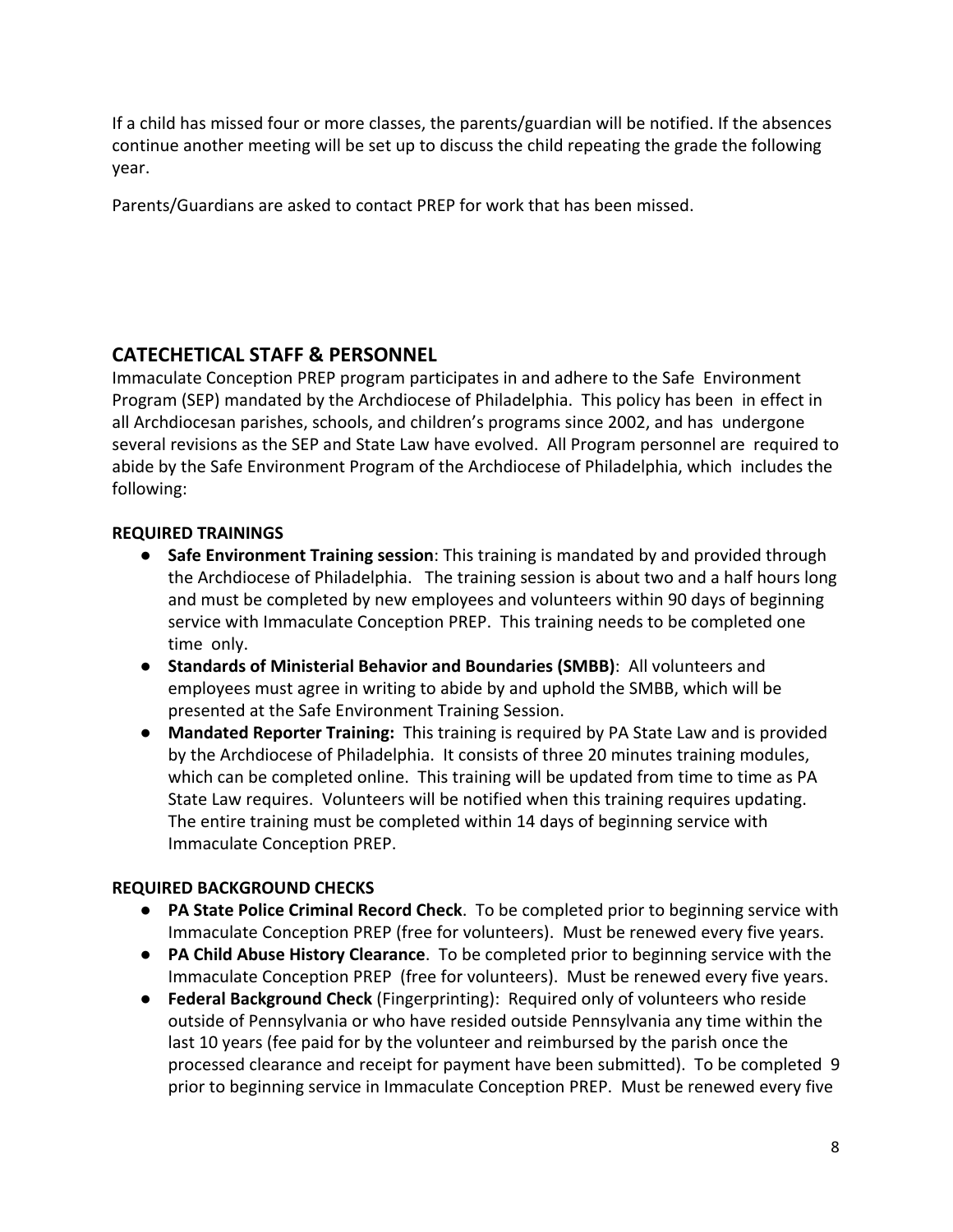If a child has missed four or more classes, the parents/guardian will be notified. If the absences continue another meeting will be set up to discuss the child repeating the grade the following year.

Parents/Guardians are asked to contact PREP for work that has been missed.

# **CATECHETICAL STAFF & PERSONNEL**

Immaculate Conception PREP program participates in and adhere to the Safe Environment Program (SEP) mandated by the Archdiocese of Philadelphia. This policy has been in effect in all Archdiocesan parishes, schools, and children's programs since 2002, and has undergone several revisions as the SEP and State Law have evolved. All Program personnel are required to abide by the Safe Environment Program of the Archdiocese of Philadelphia, which includes the following:

#### **REQUIRED TRAININGS**

- **Safe Environment Training session**: This training is mandated by and provided through the Archdiocese of Philadelphia. The training session is about two and a half hours long and must be completed by new employees and volunteers within 90 days of beginning service with Immaculate Conception PREP. This training needs to be completed one time only.
- **Standards of Ministerial Behavior and Boundaries (SMBB)**: All volunteers and employees must agree in writing to abide by and uphold the SMBB, which will be presented at the Safe Environment Training Session.
- **Mandated Reporter Training:** This training is required by PA State Law and is provided by the Archdiocese of Philadelphia. It consists of three 20 minutes training modules, which can be completed online. This training will be updated from time to time as PA State Law requires. Volunteers will be notified when this training requires updating. The entire training must be completed within 14 days of beginning service with Immaculate Conception PREP.

#### **REQUIRED BACKGROUND CHECKS**

- **PA State Police Criminal Record Check**. To be completed prior to beginning service with Immaculate Conception PREP (free for volunteers). Must be renewed every five years.
- **PA Child Abuse History Clearance**. To be completed prior to beginning service with the Immaculate Conception PREP (free for volunteers). Must be renewed every five years.
- **Federal Background Check** (Fingerprinting): Required only of volunteers who reside outside of Pennsylvania or who have resided outside Pennsylvania any time within the last 10 years (fee paid for by the volunteer and reimbursed by the parish once the processed clearance and receipt for payment have been submitted). To be completed 9 prior to beginning service in Immaculate Conception PREP. Must be renewed every five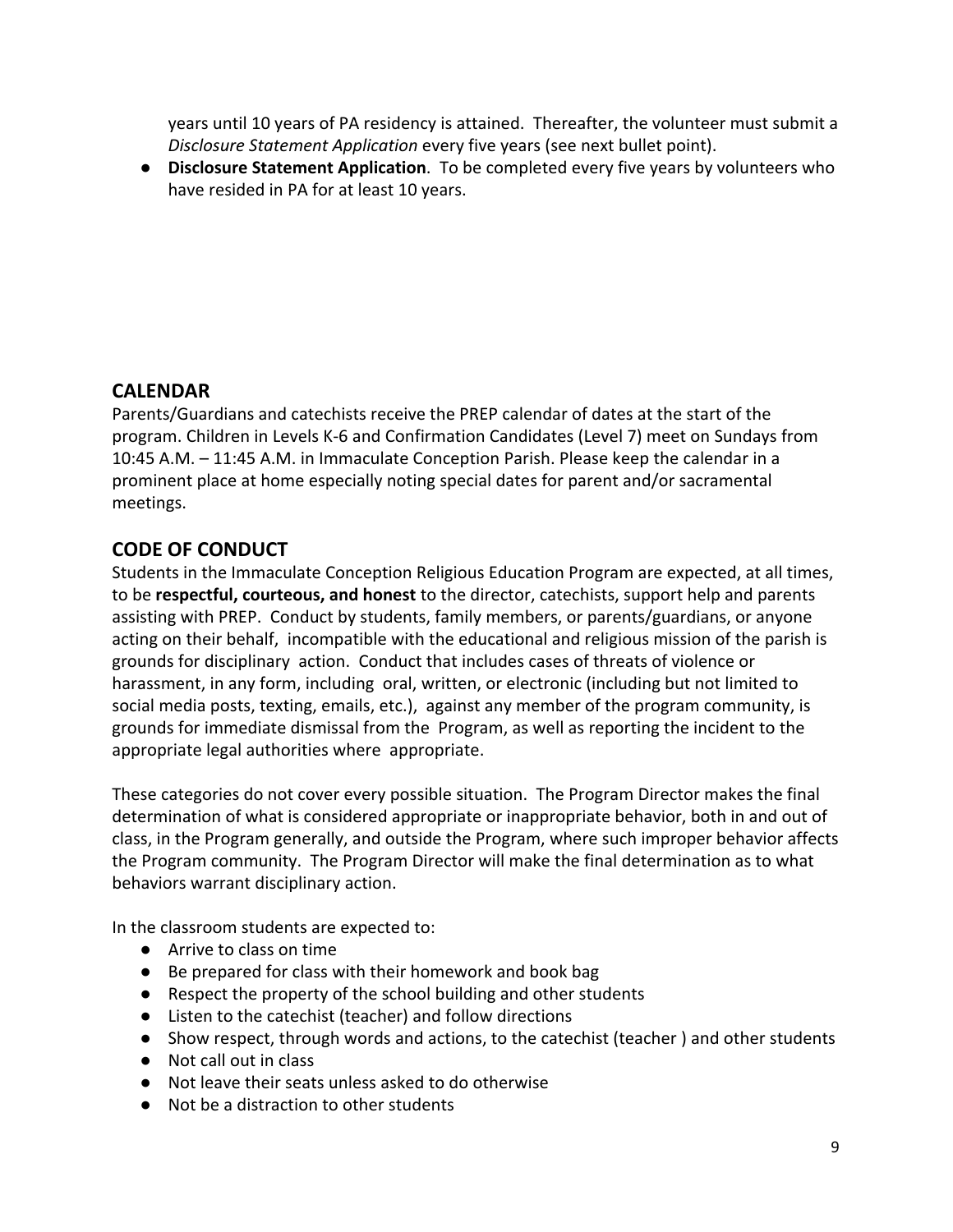years until 10 years of PA residency is attained. Thereafter, the volunteer must submit a *Disclosure Statement Application* every five years (see next bullet point).

● **Disclosure Statement Application**. To be completed every five years by volunteers who have resided in PA for at least 10 years.

### **CALENDAR**

Parents/Guardians and catechists receive the PREP calendar of dates at the start of the program. Children in Levels K-6 and Confirmation Candidates (Level 7) meet on Sundays from 10:45 A.M. – 11:45 A.M. in Immaculate Conception Parish. Please keep the calendar in a prominent place at home especially noting special dates for parent and/or sacramental meetings.

# **CODE OF CONDUCT**

Students in the Immaculate Conception Religious Education Program are expected, at all times, to be **respectful, courteous, and honest** to the director, catechists, support help and parents assisting with PREP. Conduct by students, family members, or parents/guardians, or anyone acting on their behalf, incompatible with the educational and religious mission of the parish is grounds for disciplinary action. Conduct that includes cases of threats of violence or harassment, in any form, including oral, written, or electronic (including but not limited to social media posts, texting, emails, etc.), against any member of the program community, is grounds for immediate dismissal from the Program, as well as reporting the incident to the appropriate legal authorities where appropriate.

These categories do not cover every possible situation. The Program Director makes the final determination of what is considered appropriate or inappropriate behavior, both in and out of class, in the Program generally, and outside the Program, where such improper behavior affects the Program community. The Program Director will make the final determination as to what behaviors warrant disciplinary action.

In the classroom students are expected to:

- Arrive to class on time
- Be prepared for class with their homework and book bag
- Respect the property of the school building and other students
- Listen to the catechist (teacher) and follow directions
- Show respect, through words and actions, to the catechist (teacher ) and other students
- Not call out in class
- Not leave their seats unless asked to do otherwise
- Not be a distraction to other students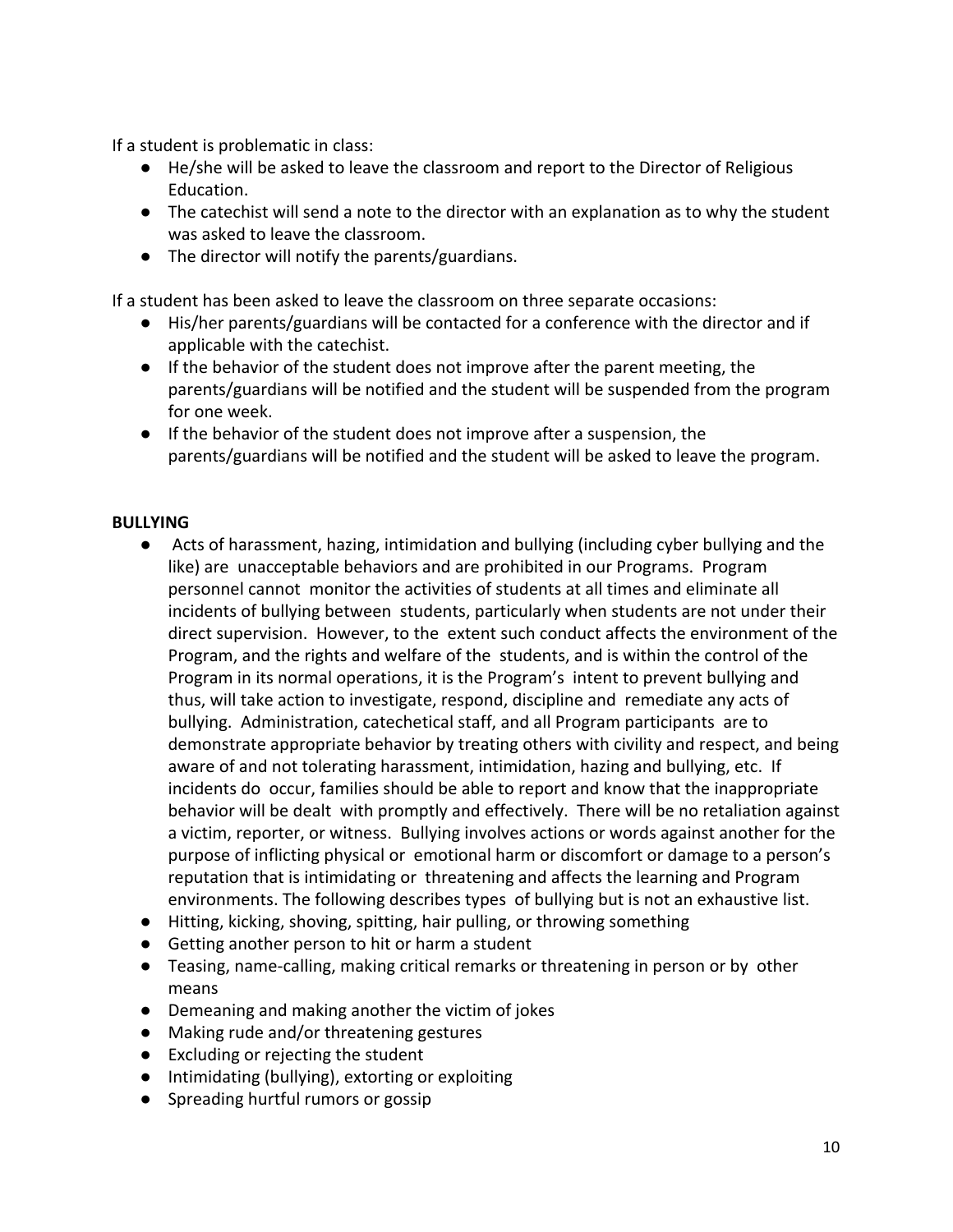If a student is problematic in class:

- He/she will be asked to leave the classroom and report to the Director of Religious Education.
- The catechist will send a note to the director with an explanation as to why the student was asked to leave the classroom.
- The director will notify the parents/guardians.

If a student has been asked to leave the classroom on three separate occasions:

- His/her parents/guardians will be contacted for a conference with the director and if applicable with the catechist.
- If the behavior of the student does not improve after the parent meeting, the parents/guardians will be notified and the student will be suspended from the program for one week.
- If the behavior of the student does not improve after a suspension, the parents/guardians will be notified and the student will be asked to leave the program.

#### **BULLYING**

- Acts of harassment, hazing, intimidation and bullying (including cyber bullying and the like) are unacceptable behaviors and are prohibited in our Programs. Program personnel cannot monitor the activities of students at all times and eliminate all incidents of bullying between students, particularly when students are not under their direct supervision. However, to the extent such conduct affects the environment of the Program, and the rights and welfare of the students, and is within the control of the Program in its normal operations, it is the Program's intent to prevent bullying and thus, will take action to investigate, respond, discipline and remediate any acts of bullying. Administration, catechetical staff, and all Program participants are to demonstrate appropriate behavior by treating others with civility and respect, and being aware of and not tolerating harassment, intimidation, hazing and bullying, etc. If incidents do occur, families should be able to report and know that the inappropriate behavior will be dealt with promptly and effectively. There will be no retaliation against a victim, reporter, or witness. Bullying involves actions or words against another for the purpose of inflicting physical or emotional harm or discomfort or damage to a person's reputation that is intimidating or threatening and affects the learning and Program environments. The following describes types of bullying but is not an exhaustive list.
- Hitting, kicking, shoving, spitting, hair pulling, or throwing something
- Getting another person to hit or harm a student
- Teasing, name-calling, making critical remarks or threatening in person or by other means
- Demeaning and making another the victim of jokes
- Making rude and/or threatening gestures
- Excluding or rejecting the student
- Intimidating (bullying), extorting or exploiting
- Spreading hurtful rumors or gossip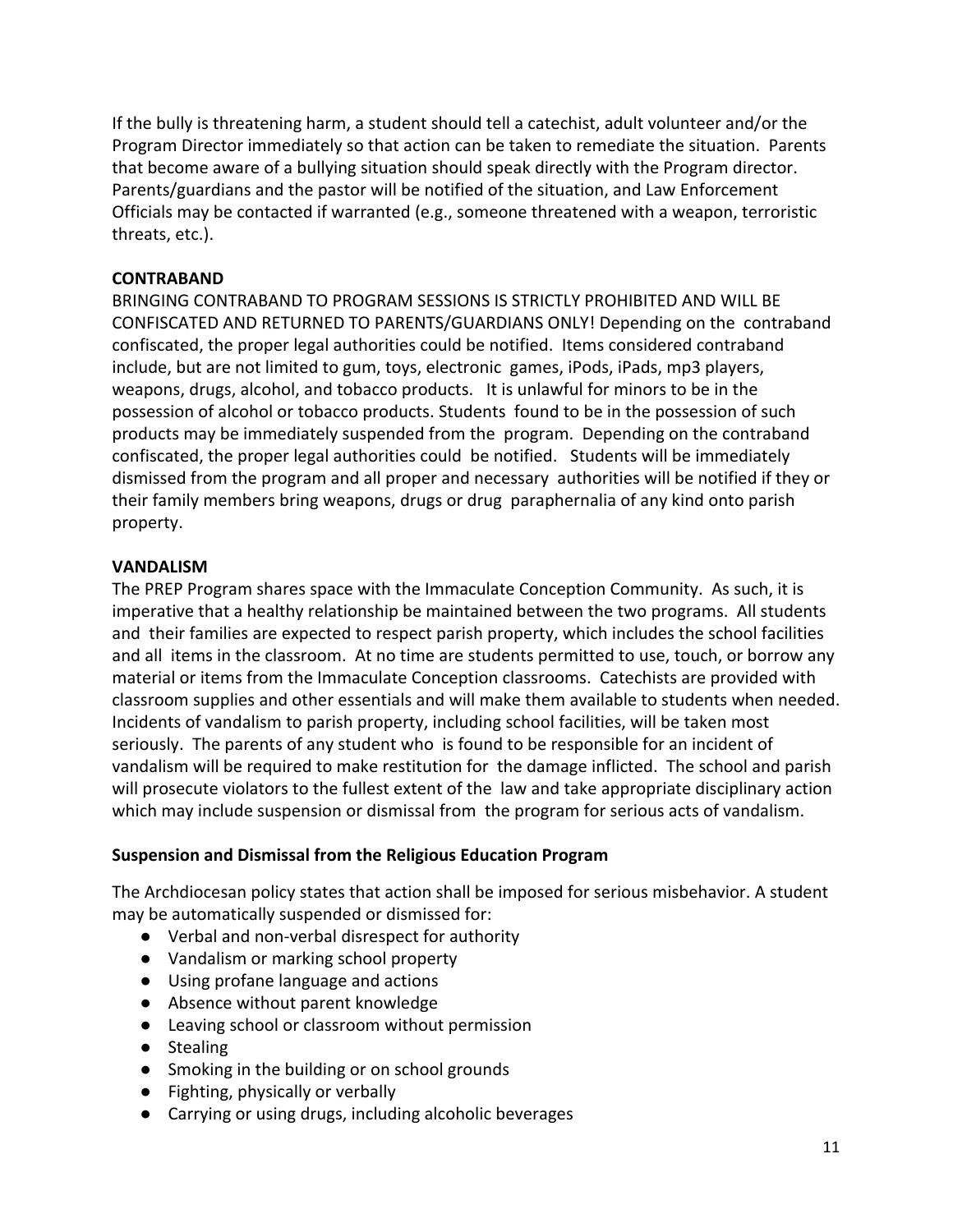If the bully is threatening harm, a student should tell a catechist, adult volunteer and/or the Program Director immediately so that action can be taken to remediate the situation. Parents that become aware of a bullying situation should speak directly with the Program director. Parents/guardians and the pastor will be notified of the situation, and Law Enforcement Officials may be contacted if warranted (e.g., someone threatened with a weapon, terroristic threats, etc.).

#### **CONTRABAND**

BRINGING CONTRABAND TO PROGRAM SESSIONS IS STRICTLY PROHIBITED AND WILL BE CONFISCATED AND RETURNED TO PARENTS/GUARDIANS ONLY! Depending on the contraband confiscated, the proper legal authorities could be notified. Items considered contraband include, but are not limited to gum, toys, electronic games, iPods, iPads, mp3 players, weapons, drugs, alcohol, and tobacco products. It is unlawful for minors to be in the possession of alcohol or tobacco products. Students found to be in the possession of such products may be immediately suspended from the program. Depending on the contraband confiscated, the proper legal authorities could be notified. Students will be immediately dismissed from the program and all proper and necessary authorities will be notified if they or their family members bring weapons, drugs or drug paraphernalia of any kind onto parish property.

#### **VANDALISM**

The PREP Program shares space with the Immaculate Conception Community. As such, it is imperative that a healthy relationship be maintained between the two programs. All students and their families are expected to respect parish property, which includes the school facilities and all items in the classroom. At no time are students permitted to use, touch, or borrow any material or items from the Immaculate Conception classrooms. Catechists are provided with classroom supplies and other essentials and will make them available to students when needed. Incidents of vandalism to parish property, including school facilities, will be taken most seriously. The parents of any student who is found to be responsible for an incident of vandalism will be required to make restitution for the damage inflicted. The school and parish will prosecute violators to the fullest extent of the law and take appropriate disciplinary action which may include suspension or dismissal from the program for serious acts of vandalism.

#### **Suspension and Dismissal from the Religious Education Program**

The Archdiocesan policy states that action shall be imposed for serious misbehavior. A student may be automatically suspended or dismissed for:

- Verbal and non-verbal disrespect for authority
- Vandalism or marking school property
- Using profane language and actions
- Absence without parent knowledge
- Leaving school or classroom without permission
- Stealing
- Smoking in the building or on school grounds
- Fighting, physically or verbally
- Carrying or using drugs, including alcoholic beverages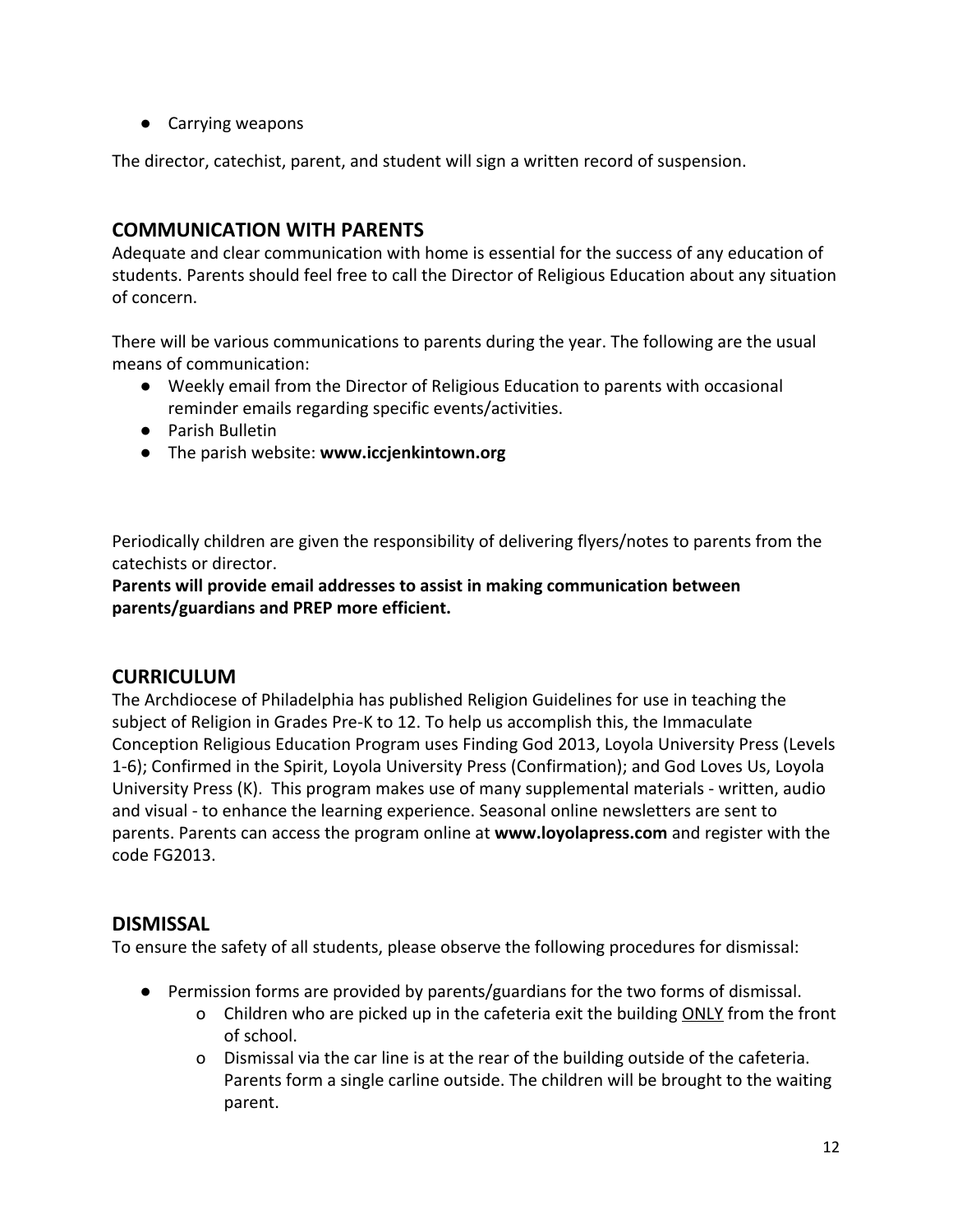● Carrying weapons

The director, catechist, parent, and student will sign a written record of suspension.

### **COMMUNICATION WITH PARENTS**

Adequate and clear communication with home is essential for the success of any education of students. Parents should feel free to call the Director of Religious Education about any situation of concern.

There will be various communications to parents during the year. The following are the usual means of communication:

- Weekly email from the Director of Religious Education to parents with occasional reminder emails regarding specific events/activities.
- Parish Bulletin
- The parish website: **www.iccjenkintown.org**

Periodically children are given the responsibility of delivering flyers/notes to parents from the catechists or director.

**Parents will provide email addresses to assist in making communication between parents/guardians and PREP more efficient.**

#### **CURRICULUM**

The Archdiocese of Philadelphia has published Religion Guidelines for use in teaching the subject of Religion in Grades Pre-K to 12. To help us accomplish this, the Immaculate Conception Religious Education Program uses Finding God 2013, Loyola University Press (Levels 1-6); Confirmed in the Spirit, Loyola University Press (Confirmation); and God Loves Us, Loyola University Press (K). This program makes use of many supplemental materials - written, audio and visual - to enhance the learning experience. Seasonal online newsletters are sent to parents. Parents can access the program online at **www.loyolapress.com** and register with the code FG2013.

#### **DISMISSAL**

To ensure the safety of all students, please observe the following procedures for dismissal:

- Permission forms are provided by parents/guardians for the two forms of dismissal.
	- o Children who are picked up in the cafeteria exit the building ONLY from the front of school.
	- o Dismissal via the car line is at the rear of the building outside of the cafeteria. Parents form a single carline outside. The children will be brought to the waiting parent.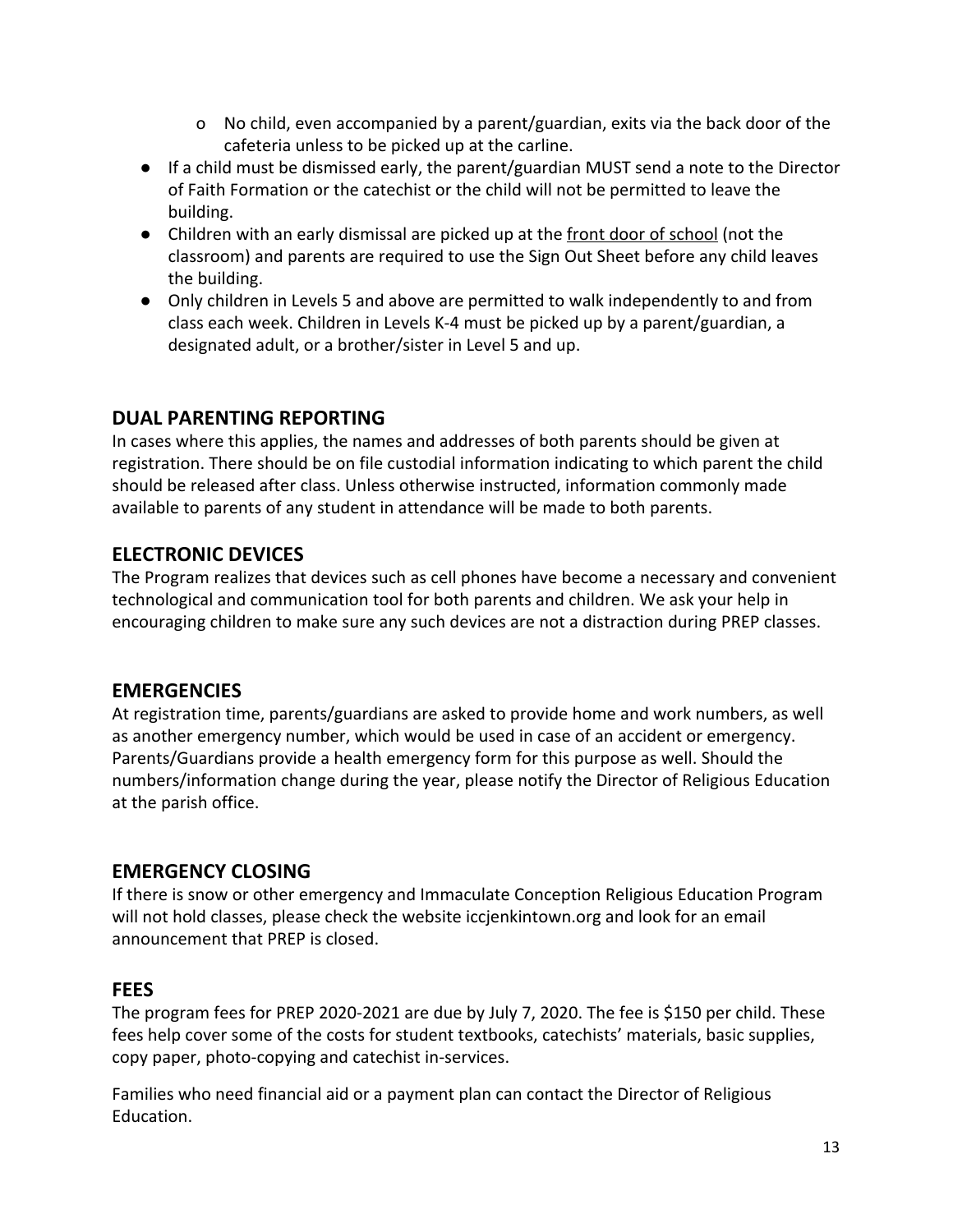- o No child, even accompanied by a parent/guardian, exits via the back door of the cafeteria unless to be picked up at the carline.
- If a child must be dismissed early, the parent/guardian MUST send a note to the Director of Faith Formation or the catechist or the child will not be permitted to leave the building.
- Children with an early dismissal are picked up at the front door of school (not the classroom) and parents are required to use the Sign Out Sheet before any child leaves the building.
- Only children in Levels 5 and above are permitted to walk independently to and from class each week. Children in Levels K-4 must be picked up by a parent/guardian, a designated adult, or a brother/sister in Level 5 and up.

# **DUAL PARENTING REPORTING**

In cases where this applies, the names and addresses of both parents should be given at registration. There should be on file custodial information indicating to which parent the child should be released after class. Unless otherwise instructed, information commonly made available to parents of any student in attendance will be made to both parents.

# **ELECTRONIC DEVICES**

The Program realizes that devices such as cell phones have become a necessary and convenient technological and communication tool for both parents and children. We ask your help in encouraging children to make sure any such devices are not a distraction during PREP classes.

# **EMERGENCIES**

At registration time, parents/guardians are asked to provide home and work numbers, as well as another emergency number, which would be used in case of an accident or emergency. Parents/Guardians provide a health emergency form for this purpose as well. Should the numbers/information change during the year, please notify the Director of Religious Education at the parish office.

# **EMERGENCY CLOSING**

If there is snow or other emergency and Immaculate Conception Religious Education Program will not hold classes, please check the website iccjenkintown.org and look for an email announcement that PREP is closed.

#### **FEES**

The program fees for PREP 2020-2021 are due by July 7, 2020. The fee is \$150 per child. These fees help cover some of the costs for student textbooks, catechists' materials, basic supplies, copy paper, photo-copying and catechist in-services.

Families who need financial aid or a payment plan can contact the Director of Religious Education.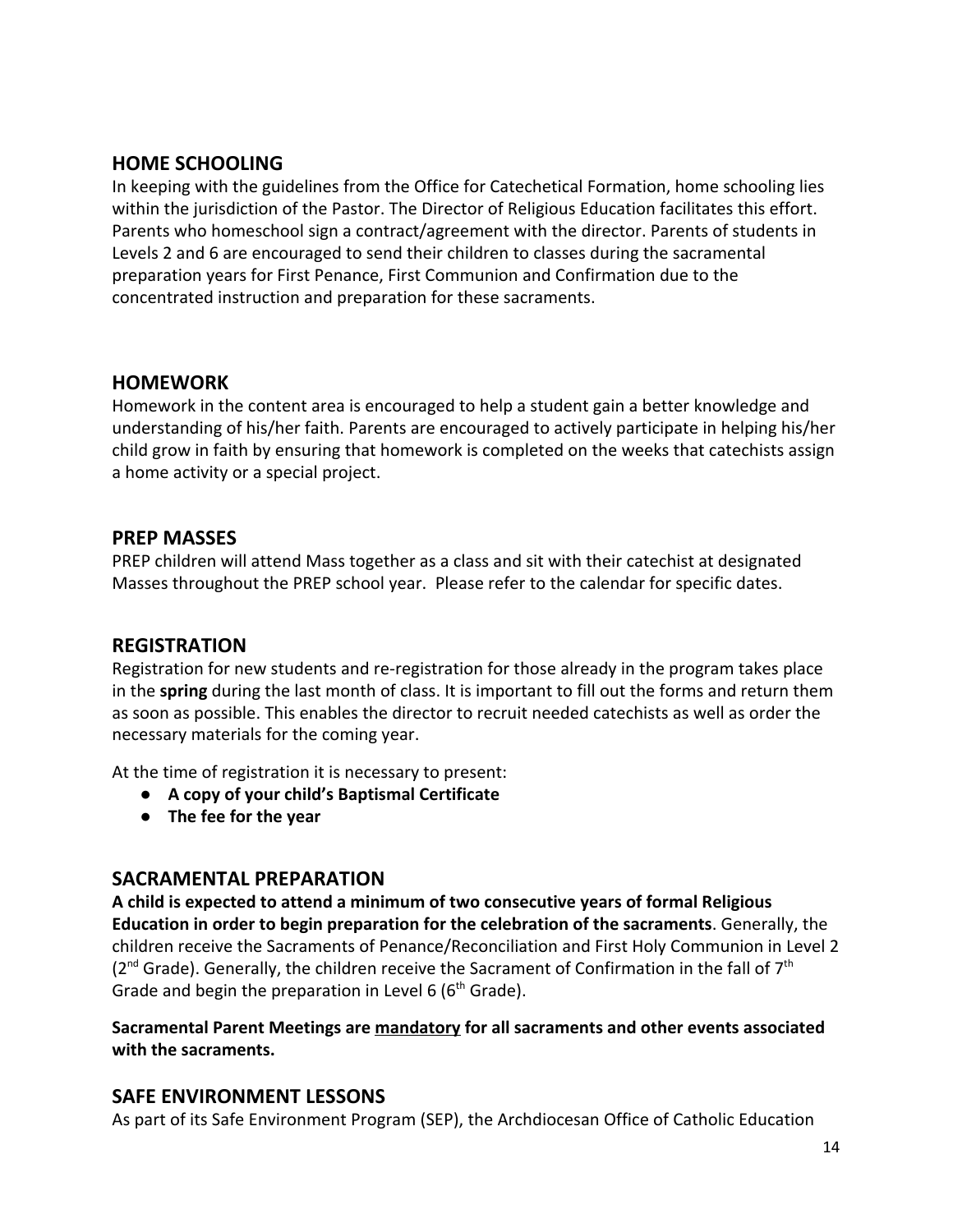#### **HOME SCHOOLING**

In keeping with the guidelines from the Office for Catechetical Formation, home schooling lies within the jurisdiction of the Pastor. The Director of Religious Education facilitates this effort. Parents who homeschool sign a contract/agreement with the director. Parents of students in Levels 2 and 6 are encouraged to send their children to classes during the sacramental preparation years for First Penance, First Communion and Confirmation due to the concentrated instruction and preparation for these sacraments.

#### **HOMEWORK**

Homework in the content area is encouraged to help a student gain a better knowledge and understanding of his/her faith. Parents are encouraged to actively participate in helping his/her child grow in faith by ensuring that homework is completed on the weeks that catechists assign a home activity or a special project.

#### **PREP MASSES**

PREP children will attend Mass together as a class and sit with their catechist at designated Masses throughout the PREP school year. Please refer to the calendar for specific dates.

#### **REGISTRATION**

Registration for new students and re-registration for those already in the program takes place in the **spring** during the last month of class. It is important to fill out the forms and return them as soon as possible. This enables the director to recruit needed catechists as well as order the necessary materials for the coming year.

At the time of registration it is necessary to present:

- **● A copy of your child's Baptismal Certificate**
- **● The fee for the year**

#### **SACRAMENTAL PREPARATION**

**A child is expected to attend a minimum of two consecutive years of formal Religious Education in order to begin preparation for the celebration of the sacraments**. Generally, the children receive the Sacraments of Penance/Reconciliation and First Holy Communion in Level 2 ( $2<sup>nd</sup>$  Grade). Generally, the children receive the Sacrament of Confirmation in the fall of  $7<sup>th</sup>$ Grade and begin the preparation in Level 6 ( $6<sup>th</sup>$  Grade).

#### **Sacramental Parent Meetings are mandatory for all sacraments and other events associated with the sacraments.**

#### **SAFE ENVIRONMENT LESSONS**

As part of its Safe Environment Program (SEP), the Archdiocesan Office of Catholic Education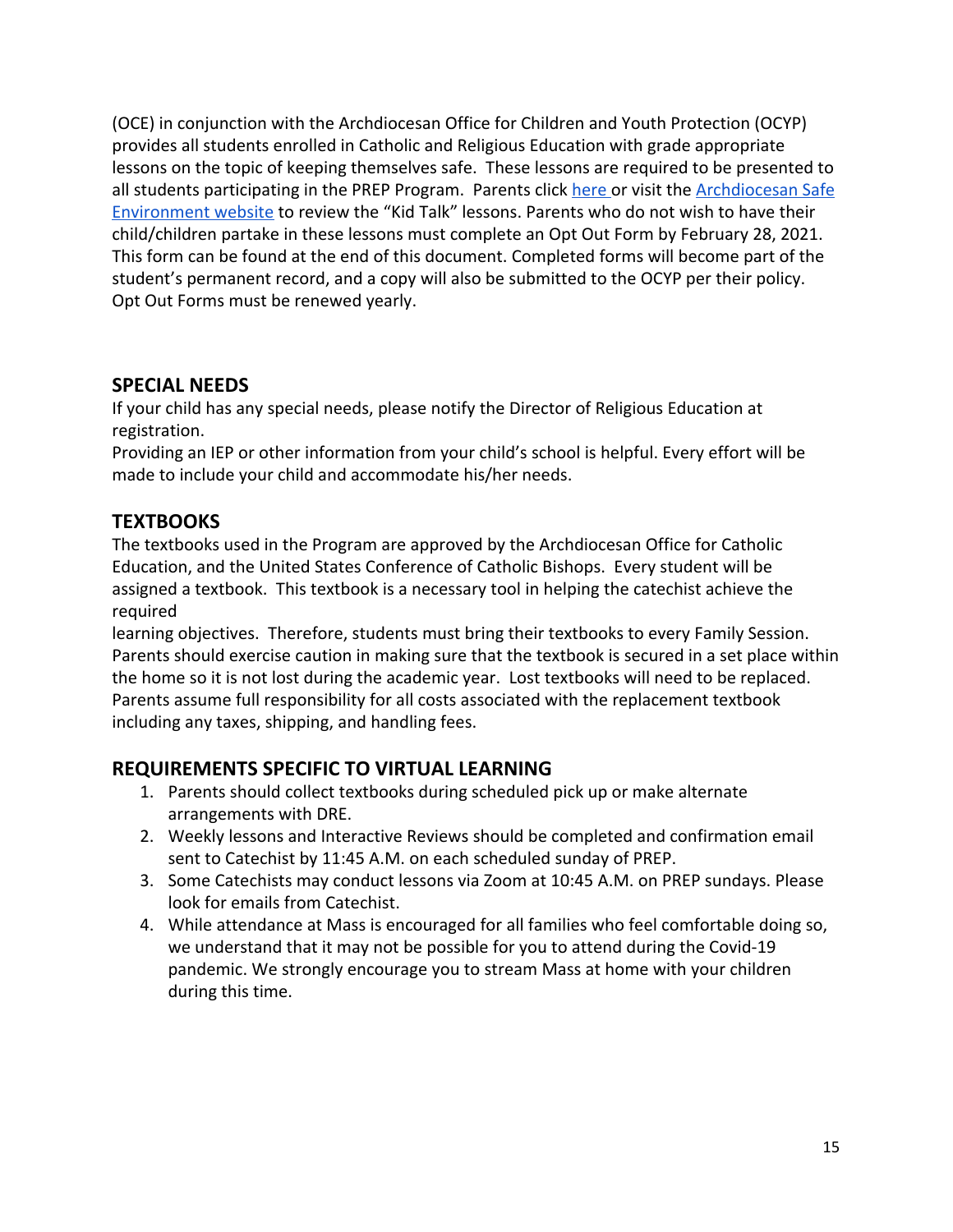(OCE) in conjunction with the Archdiocesan Office for Children and Youth Protection (OCYP) provides all students enrolled in Catholic and Religious Education with grade appropriate lessons on the topic of keeping themselves safe. These lessons are required to be presented to all students participating in the PREP Program. Parents click [here o](http://phillyocf.org/safe-environment-2/)r visit the [Archdiocesan Safe](http://phillyocf.org/safe-environment-2/) [Environment website](http://phillyocf.org/safe-environment-2/) to review the "Kid Talk" lessons. Parents who do not wish to have their child/children partake in these lessons must complete an Opt Out Form by February 28, 2021. This form can be found at the end of this document. Completed forms will become part of the student's permanent record, and a copy will also be submitted to the OCYP per their policy. Opt Out Forms must be renewed yearly.

#### **SPECIAL NEEDS**

If your child has any special needs, please notify the Director of Religious Education at registration.

Providing an IEP or other information from your child's school is helpful. Every effort will be made to include your child and accommodate his/her needs.

# **TEXTBOOKS**

The textbooks used in the Program are approved by the Archdiocesan Office for Catholic Education, and the United States Conference of Catholic Bishops. Every student will be assigned a textbook. This textbook is a necessary tool in helping the catechist achieve the required

learning objectives. Therefore, students must bring their textbooks to every Family Session. Parents should exercise caution in making sure that the textbook is secured in a set place within the home so it is not lost during the academic year. Lost textbooks will need to be replaced. Parents assume full responsibility for all costs associated with the replacement textbook including any taxes, shipping, and handling fees.

# **REQUIREMENTS SPECIFIC TO VIRTUAL LEARNING**

- 1. Parents should collect textbooks during scheduled pick up or make alternate arrangements with DRE.
- 2. Weekly lessons and Interactive Reviews should be completed and confirmation email sent to Catechist by 11:45 A.M. on each scheduled sunday of PREP.
- 3. Some Catechists may conduct lessons via Zoom at 10:45 A.M. on PREP sundays. Please look for emails from Catechist.
- 4. While attendance at Mass is encouraged for all families who feel comfortable doing so, we understand that it may not be possible for you to attend during the Covid-19 pandemic. We strongly encourage you to stream Mass at home with your children during this time.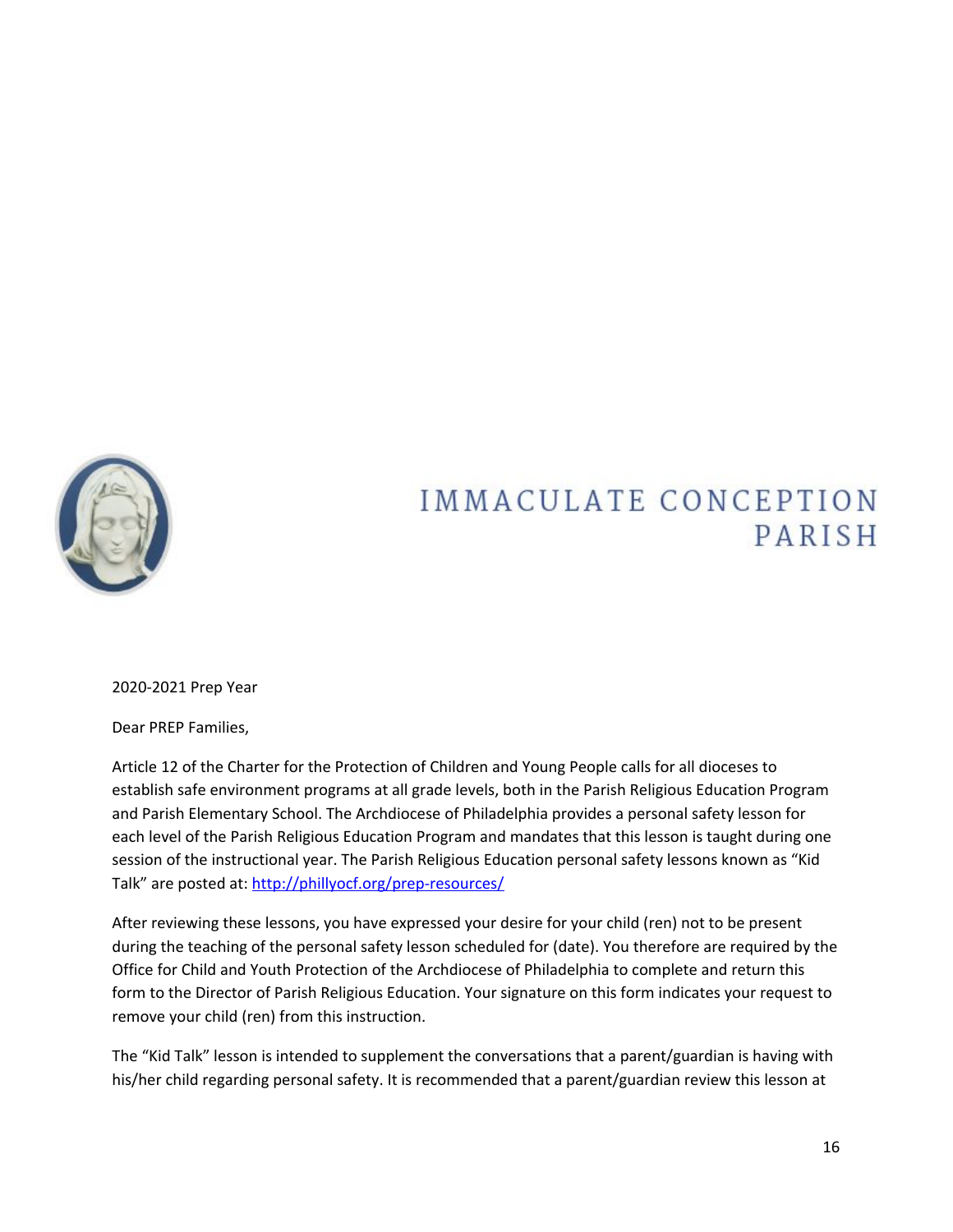

# **IMMACULATE CONCEPTION** PARISH

2020-2021 Prep Year

Dear PREP Families,

Article 12 of the Charter for the Protection of Children and Young People calls for all dioceses to establish safe environment programs at all grade levels, both in the Parish Religious Education Program and Parish Elementary School. The Archdiocese of Philadelphia provides a personal safety lesson for each level of the Parish Religious Education Program and mandates that this lesson is taught during one session of the instructional year. The Parish Religious Education personal safety lessons known as "Kid Talk" are posted at: <http://phillyocf.org/prep-resources/>

After reviewing these lessons, you have expressed your desire for your child (ren) not to be present during the teaching of the personal safety lesson scheduled for (date). You therefore are required by the Office for Child and Youth Protection of the Archdiocese of Philadelphia to complete and return this form to the Director of Parish Religious Education. Your signature on this form indicates your request to remove your child (ren) from this instruction.

The "Kid Talk" lesson is intended to supplement the conversations that a parent/guardian is having with his/her child regarding personal safety. It is recommended that a parent/guardian review this lesson at